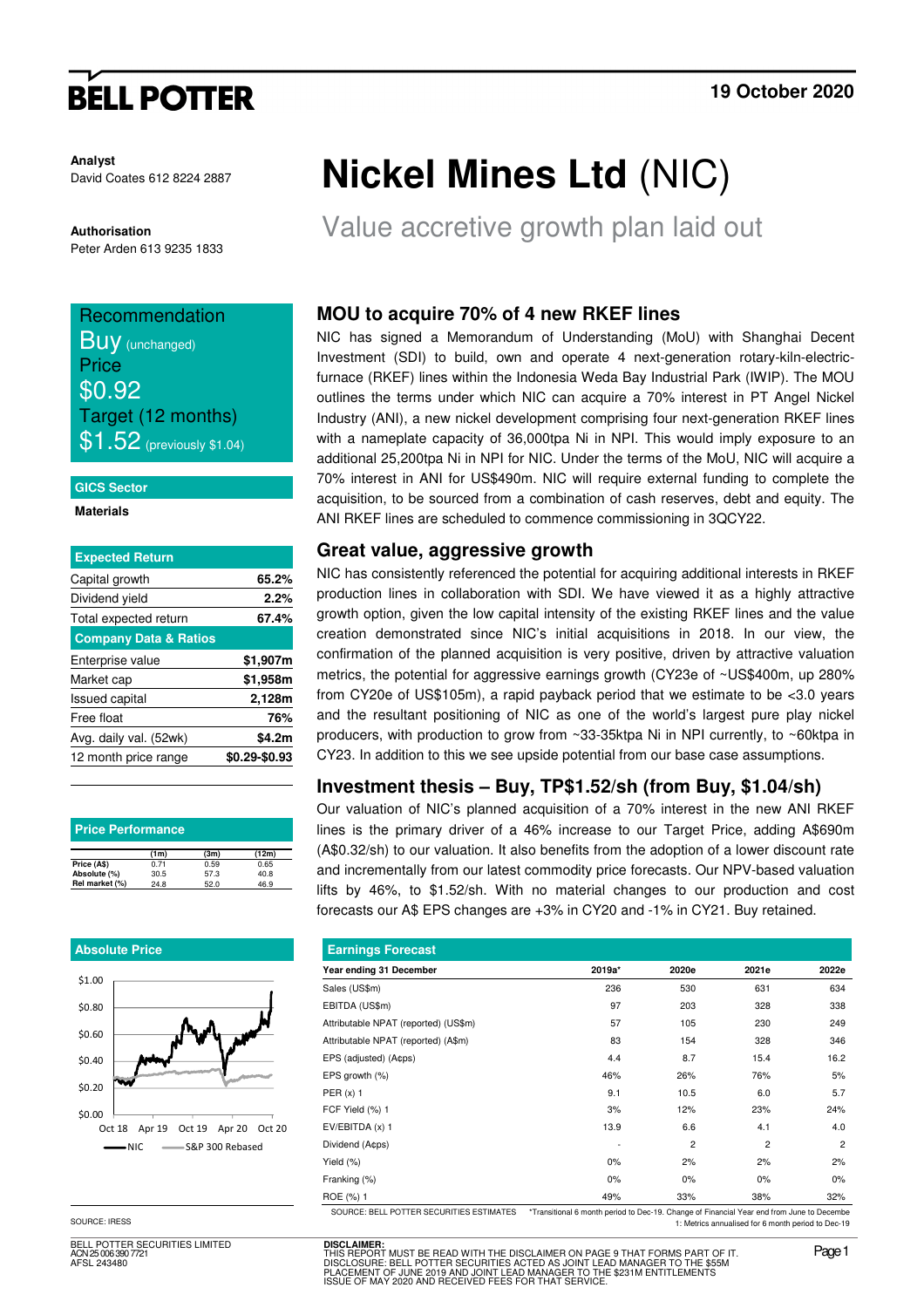# **BELL POTTER**

**Analyst** David Coates 612 8224 2887

**Authorisation** 

## Peter Arden 613 9235 1833

## Recommendation **Buy** (unchanged) **Price** \$0.92 Target (12 months)  $$1.52$  (previously \$1.04)

#### **GICS Sector**

#### **Materials**

| <b>Expected Return</b>           |               |
|----------------------------------|---------------|
| Capital growth                   | 65.2%         |
| Dividend yield                   | 2.2%          |
| Total expected return            | 67.4%         |
| <b>Company Data &amp; Ratios</b> |               |
| Enterprise value                 | \$1,907m      |
| Market cap                       | \$1,958m      |
| <b>Issued capital</b>            | 2,128m        |
| Free float                       | 76%           |
| Avg. daily val. (52wk)           | \$4.2m        |
| 12 month price range             | \$0.29-\$0.93 |
|                                  |               |

| <b>Price Performance</b> |                   |      |       |  |  |  |
|--------------------------|-------------------|------|-------|--|--|--|
|                          | (1 <sub>m</sub> ) | (3m) | (12m) |  |  |  |
| Price (A\$)              | 0.71              | 0.59 | 0.65  |  |  |  |
| Absolute (%)             | 30.5              | 57.3 | 40.8  |  |  |  |
| Rel market (%)           | 24.8              | 52.0 | 46.9  |  |  |  |

#### **Absolute Price**



SOURCE: IRESS

BELL POTTER SECURITIES LIMITED 25 006 390 772 AFSL 243480

# **Nickel Mines Ltd** (NIC)

Value accretive growth plan laid out

### **MOU to acquire 70% of 4 new RKEF lines**

NIC has signed a Memorandum of Understanding (MoU) with Shanghai Decent Investment (SDI) to build, own and operate 4 next-generation rotary-kiln-electricfurnace (RKEF) lines within the Indonesia Weda Bay Industrial Park (IWIP). The MOU outlines the terms under which NIC can acquire a 70% interest in PT Angel Nickel Industry (ANI), a new nickel development comprising four next-generation RKEF lines with a nameplate capacity of 36,000tpa Ni in NPI. This would imply exposure to an additional 25,200tpa Ni in NPI for NIC. Under the terms of the MoU, NIC will acquire a 70% interest in ANI for US\$490m. NIC will require external funding to complete the acquisition, to be sourced from a combination of cash reserves, debt and equity. The ANI RKEF lines are scheduled to commence commissioning in 3QCY22.

### **Great value, aggressive growth**

NIC has consistently referenced the potential for acquiring additional interests in RKEF production lines in collaboration with SDI. We have viewed it as a highly attractive growth option, given the low capital intensity of the existing RKEF lines and the value creation demonstrated since NIC's initial acquisitions in 2018. In our view, the confirmation of the planned acquisition is very positive, driven by attractive valuation metrics, the potential for aggressive earnings growth (CY23e of ~US\$400m, up 280% from CY20e of US\$105m), a rapid payback period that we estimate to be <3.0 years and the resultant positioning of NIC as one of the world's largest pure play nickel producers, with production to grow from ~33-35ktpa Ni in NPI currently, to ~60ktpa in CY23. In addition to this we see upside potential from our base case assumptions.

### **Investment thesis – Buy, TP\$1.52/sh (from Buy, \$1.04/sh)**

Our valuation of NIC's planned acquisition of a 70% interest in the new ANI RKEF lines is the primary driver of a 46% increase to our Target Price, adding A\$690m (A\$0.32/sh) to our valuation. It also benefits from the adoption of a lower discount rate and incrementally from our latest commodity price forecasts. Our NPV-based valuation lifts by 46%, to \$1.52/sh. With no material changes to our production and cost forecasts our A\$ EPS changes are +3% in CY20 and -1% in CY21. Buy retained.

| <b>Earnings Forecast</b>                  |                                                                                           |                |       |       |  |  |  |
|-------------------------------------------|-------------------------------------------------------------------------------------------|----------------|-------|-------|--|--|--|
| Year ending 31 December                   | 2019a*                                                                                    | 2020e          | 2021e | 2022e |  |  |  |
| Sales (US\$m)                             | 236                                                                                       | 530            | 631   | 634   |  |  |  |
| EBITDA (US\$m)                            | 97                                                                                        | 203            | 328   | 338   |  |  |  |
| Attributable NPAT (reported) (US\$m)      | 57                                                                                        | 105            | 230   | 249   |  |  |  |
| Attributable NPAT (reported) (A\$m)       | 83                                                                                        | 154            | 328   | 346   |  |  |  |
| EPS (adjusted) (A¢ps)                     | 4.4                                                                                       | 8.7            | 15.4  | 16.2  |  |  |  |
| EPS growth (%)                            | 46%                                                                                       | 26%            | 76%   | 5%    |  |  |  |
| PER $(x)$ 1                               | 9.1                                                                                       | 10.5           | 6.0   | 5.7   |  |  |  |
| FCF Yield (%) 1                           | 3%                                                                                        | 12%            | 23%   | 24%   |  |  |  |
| $EV/EBITDA(x)$ 1                          | 13.9                                                                                      | 6.6            | 4.1   | 4.0   |  |  |  |
| Dividend (Acps)                           |                                                                                           | $\overline{2}$ | 2     | 2     |  |  |  |
| Yield (%)                                 | 0%                                                                                        | 2%             | 2%    | 2%    |  |  |  |
| Franking (%)                              | 0%                                                                                        | $0\%$          | 0%    | $0\%$ |  |  |  |
| ROE (%) 1                                 | 49%                                                                                       | 33%            | 38%   | 32%   |  |  |  |
| SOLIBCE: BELL POTTER SECURITIES ESTIMATES | *Transitional 6 month period to Dec-19, Change of Financial Year end from June to Decembe |                |       |       |  |  |  |

SOURCE: BELL POTTER SECURITIES ESTIMATES \*Transitional 6 month period to Dec-19. Change of Financial Year end from June to Decembe 1: Metrics annualised for 6 month period to Dec-19

**DISCLAIMER:** THIS REPORT MUST BE READ WITH THE DISCLAIMER ON PAGE 9 THAT FORMS PART OF IT.<br>DISCLOSURE: BELL POTTER SECURITIES ACTED AS JOINT LEAD MANAGER TO THE \$55M<br>PLACEMENT OF JUNE 2019 AND JOINT LEAD MANAGER TO THE \$231M ENTITLEMEN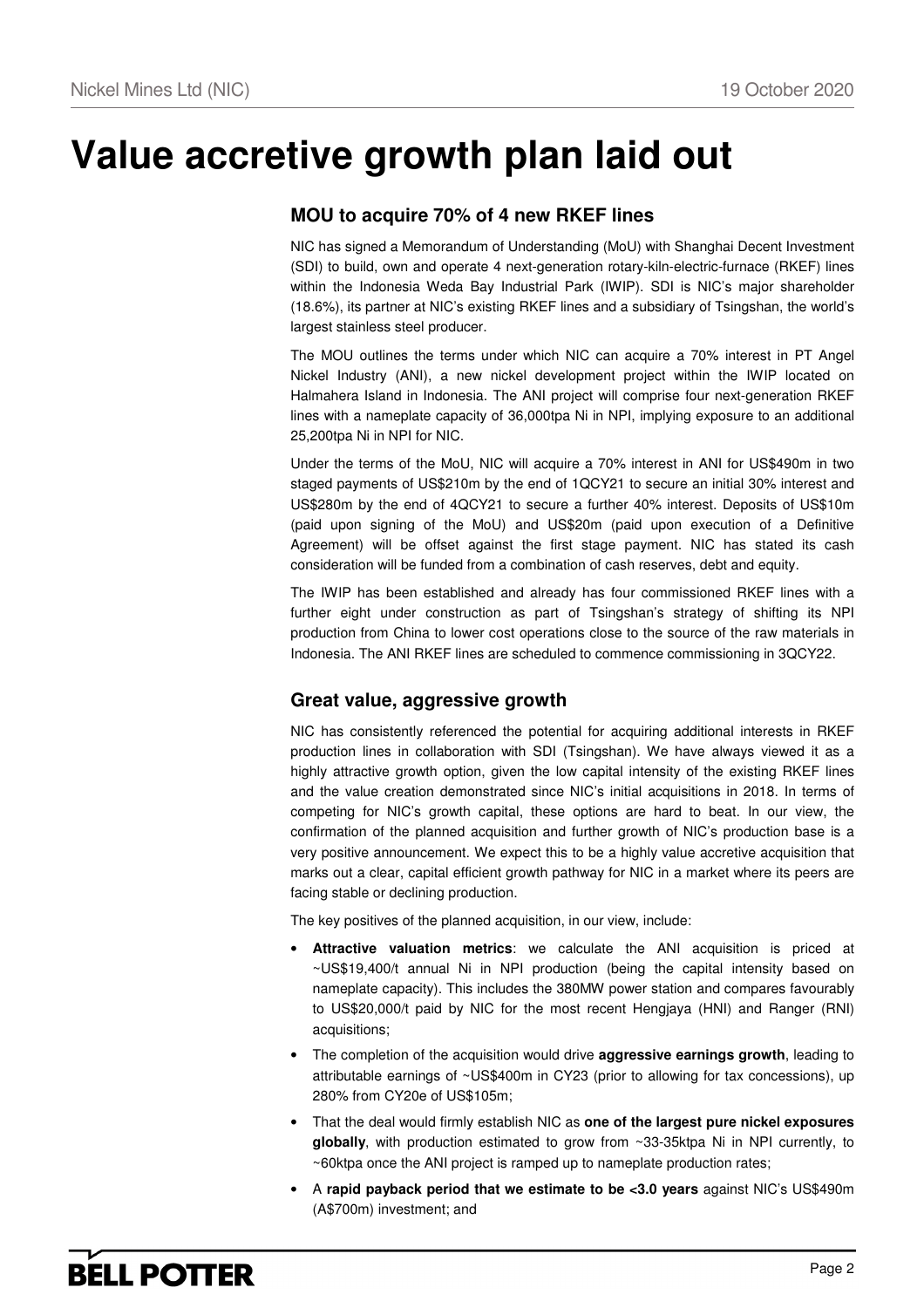# **Value accretive growth plan laid out**

### **MOU to acquire 70% of 4 new RKEF lines**

NIC has signed a Memorandum of Understanding (MoU) with Shanghai Decent Investment (SDI) to build, own and operate 4 next-generation rotary-kiln-electric-furnace (RKEF) lines within the Indonesia Weda Bay Industrial Park (IWIP). SDI is NIC's major shareholder (18.6%), its partner at NIC's existing RKEF lines and a subsidiary of Tsingshan, the world's largest stainless steel producer.

The MOU outlines the terms under which NIC can acquire a 70% interest in PT Angel Nickel Industry (ANI), a new nickel development project within the IWIP located on Halmahera Island in Indonesia. The ANI project will comprise four next-generation RKEF lines with a nameplate capacity of 36,000tpa Ni in NPI, implying exposure to an additional 25,200tpa Ni in NPI for NIC.

Under the terms of the MoU, NIC will acquire a 70% interest in ANI for US\$490m in two staged payments of US\$210m by the end of 1QCY21 to secure an initial 30% interest and US\$280m by the end of 4QCY21 to secure a further 40% interest. Deposits of US\$10m (paid upon signing of the MoU) and US\$20m (paid upon execution of a Definitive Agreement) will be offset against the first stage payment. NIC has stated its cash consideration will be funded from a combination of cash reserves, debt and equity.

The IWIP has been established and already has four commissioned RKEF lines with a further eight under construction as part of Tsingshan's strategy of shifting its NPI production from China to lower cost operations close to the source of the raw materials in Indonesia. The ANI RKEF lines are scheduled to commence commissioning in 3QCY22.

### **Great value, aggressive growth**

NIC has consistently referenced the potential for acquiring additional interests in RKEF production lines in collaboration with SDI (Tsingshan). We have always viewed it as a highly attractive growth option, given the low capital intensity of the existing RKEF lines and the value creation demonstrated since NIC's initial acquisitions in 2018. In terms of competing for NIC's growth capital, these options are hard to beat. In our view, the confirmation of the planned acquisition and further growth of NIC's production base is a very positive announcement. We expect this to be a highly value accretive acquisition that marks out a clear, capital efficient growth pathway for NIC in a market where its peers are facing stable or declining production.

The key positives of the planned acquisition, in our view, include:

- **Attractive valuation metrics**: we calculate the ANI acquisition is priced at ~US\$19,400/t annual Ni in NPI production (being the capital intensity based on nameplate capacity). This includes the 380MW power station and compares favourably to US\$20,000/t paid by NIC for the most recent Hengjaya (HNI) and Ranger (RNI) acquisitions;
- The completion of the acquisition would drive **aggressive earnings growth**, leading to attributable earnings of ~US\$400m in CY23 (prior to allowing for tax concessions), up 280% from CY20e of US\$105m;
- That the deal would firmly establish NIC as **one of the largest pure nickel exposures globally**, with production estimated to grow from ~33-35ktpa Ni in NPI currently, to ~60ktpa once the ANI project is ramped up to nameplate production rates;
- A **rapid payback period that we estimate to be <3.0 years** against NIC's US\$490m (A\$700m) investment; and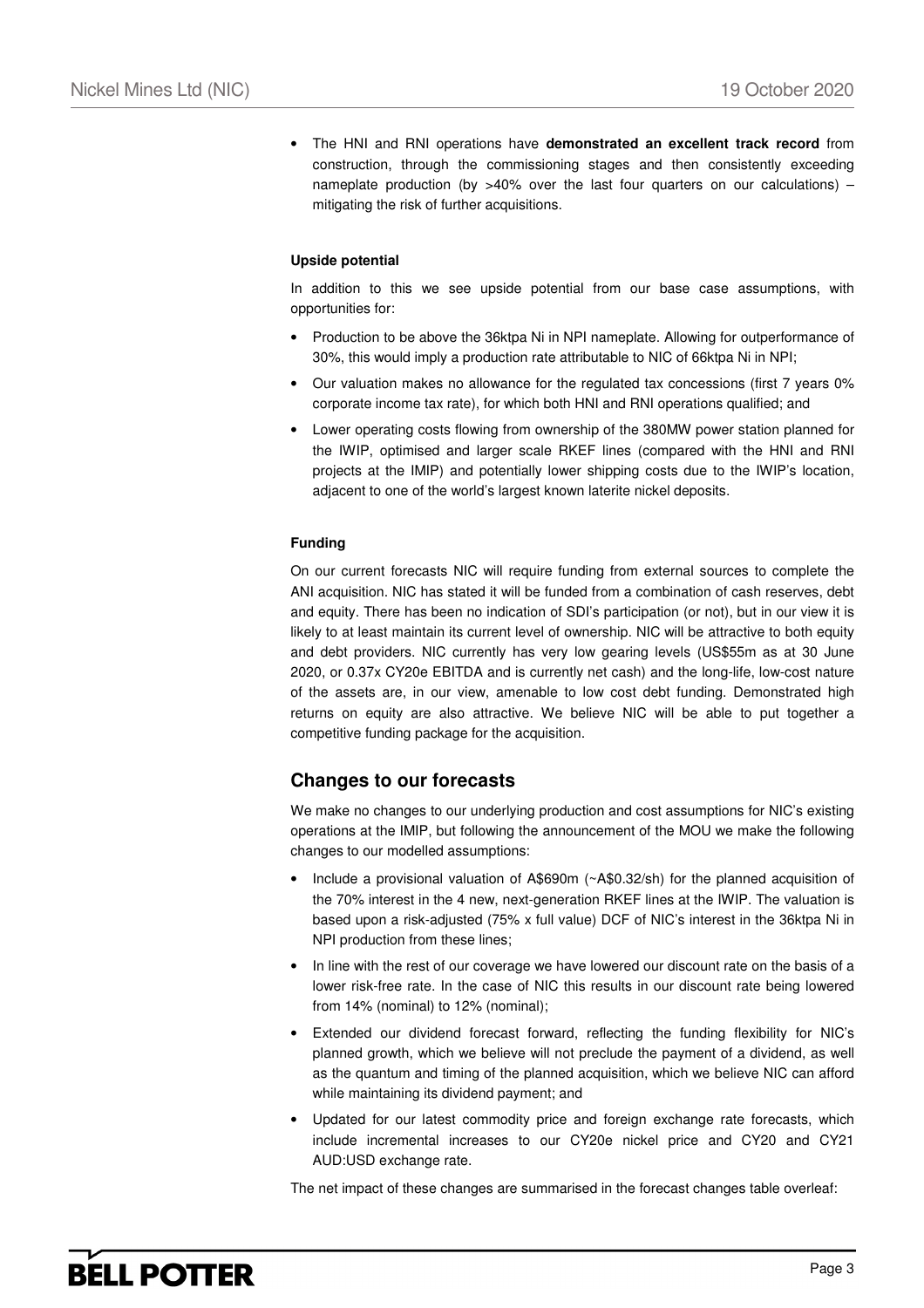• The HNI and RNI operations have **demonstrated an excellent track record** from construction, through the commissioning stages and then consistently exceeding nameplate production (by  $>40\%$  over the last four quarters on our calculations) – mitigating the risk of further acquisitions.

#### **Upside potential**

In addition to this we see upside potential from our base case assumptions, with opportunities for:

- Production to be above the 36ktpa Ni in NPI nameplate. Allowing for outperformance of 30%, this would imply a production rate attributable to NIC of 66ktpa Ni in NPI;
- Our valuation makes no allowance for the regulated tax concessions (first 7 years 0% corporate income tax rate), for which both HNI and RNI operations qualified; and
- Lower operating costs flowing from ownership of the 380MW power station planned for the IWIP, optimised and larger scale RKEF lines (compared with the HNI and RNI projects at the IMIP) and potentially lower shipping costs due to the IWIP's location, adjacent to one of the world's largest known laterite nickel deposits.

#### **Funding**

On our current forecasts NIC will require funding from external sources to complete the ANI acquisition. NIC has stated it will be funded from a combination of cash reserves, debt and equity. There has been no indication of SDI's participation (or not), but in our view it is likely to at least maintain its current level of ownership. NIC will be attractive to both equity and debt providers. NIC currently has very low gearing levels (US\$55m as at 30 June 2020, or 0.37x CY20e EBITDA and is currently net cash) and the long-life, low-cost nature of the assets are, in our view, amenable to low cost debt funding. Demonstrated high returns on equity are also attractive. We believe NIC will be able to put together a competitive funding package for the acquisition.

### **Changes to our forecasts**

We make no changes to our underlying production and cost assumptions for NIC's existing operations at the IMIP, but following the announcement of the MOU we make the following changes to our modelled assumptions:

- Include a provisional valuation of A\$690m (~A\$0.32/sh) for the planned acquisition of the 70% interest in the 4 new, next-generation RKEF lines at the IWIP. The valuation is based upon a risk-adjusted (75% x full value) DCF of NIC's interest in the 36ktpa Ni in NPI production from these lines;
- In line with the rest of our coverage we have lowered our discount rate on the basis of a lower risk-free rate. In the case of NIC this results in our discount rate being lowered from 14% (nominal) to 12% (nominal);
- Extended our dividend forecast forward, reflecting the funding flexibility for NIC's planned growth, which we believe will not preclude the payment of a dividend, as well as the quantum and timing of the planned acquisition, which we believe NIC can afford while maintaining its dividend payment; and
- Updated for our latest commodity price and foreign exchange rate forecasts, which include incremental increases to our CY20e nickel price and CY20 and CY21 AUD:USD exchange rate.

The net impact of these changes are summarised in the forecast changes table overleaf: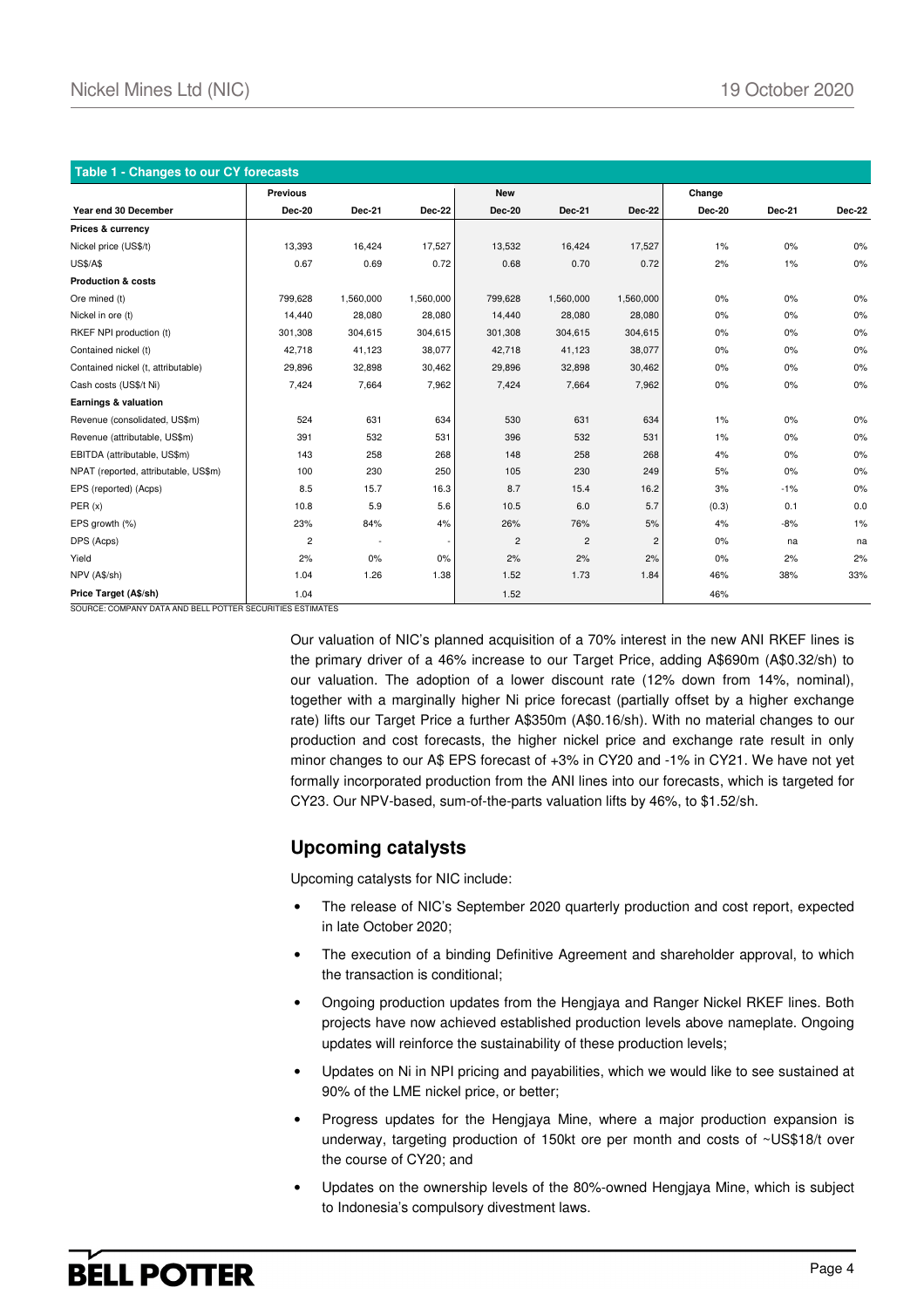| Table 1 - Changes to our CY forecasts |                 |           |           |                |                |                |               |               |        |
|---------------------------------------|-----------------|-----------|-----------|----------------|----------------|----------------|---------------|---------------|--------|
|                                       | <b>Previous</b> |           |           | <b>New</b>     |                |                | Change        |               |        |
| Year end 30 December                  | <b>Dec-20</b>   | Dec-21    | Dec-22    | <b>Dec-20</b>  | <b>Dec-21</b>  | Dec-22         | <b>Dec-20</b> | <b>Dec-21</b> | Dec-22 |
| Prices & currency                     |                 |           |           |                |                |                |               |               |        |
| Nickel price (US\$/t)                 | 13,393          | 16,424    | 17,527    | 13,532         | 16,424         | 17,527         | $1\%$         | 0%            | $0\%$  |
| <b>US\$/A\$</b>                       | 0.67            | 0.69      | 0.72      | 0.68           | 0.70           | 0.72           | 2%            | $1\%$         | $0\%$  |
| <b>Production &amp; costs</b>         |                 |           |           |                |                |                |               |               |        |
| Ore mined (t)                         | 799,628         | 1,560,000 | 1,560,000 | 799,628        | 1,560,000      | 1,560,000      | 0%            | 0%            | $0\%$  |
| Nickel in ore (t)                     | 14,440          | 28,080    | 28,080    | 14,440         | 28,080         | 28,080         | 0%            | 0%            | 0%     |
| RKEF NPI production (t)               | 301,308         | 304,615   | 304,615   | 301,308        | 304,615        | 304,615        | 0%            | 0%            | 0%     |
| Contained nickel (t)                  | 42,718          | 41,123    | 38,077    | 42,718         | 41,123         | 38,077         | 0%            | 0%            | 0%     |
| Contained nickel (t, attributable)    | 29,896          | 32,898    | 30,462    | 29,896         | 32,898         | 30,462         | 0%            | $0\%$         | $0\%$  |
| Cash costs (US\$/t Ni)                | 7,424           | 7,664     | 7,962     | 7,424          | 7,664          | 7,962          | 0%            | $0\%$         | 0%     |
| Earnings & valuation                  |                 |           |           |                |                |                |               |               |        |
| Revenue (consolidated, US\$m)         | 524             | 631       | 634       | 530            | 631            | 634            | 1%            | 0%            | $0\%$  |
| Revenue (attributable, US\$m)         | 391             | 532       | 531       | 396            | 532            | 531            | $1\%$         | 0%            | 0%     |
| EBITDA (attributable, US\$m)          | 143             | 258       | 268       | 148            | 258            | 268            | 4%            | 0%            | $0\%$  |
| NPAT (reported, attributable, US\$m)  | 100             | 230       | 250       | 105            | 230            | 249            | 5%            | 0%            | 0%     |
| EPS (reported) (Acps)                 | 8.5             | 15.7      | 16.3      | 8.7            | 15.4           | 16.2           | 3%            | $-1%$         | 0%     |
| PER(x)                                | 10.8            | 5.9       | 5.6       | 10.5           | 6.0            | 5.7            | (0.3)         | 0.1           | 0.0    |
| EPS growth (%)                        | 23%             | 84%       | 4%        | 26%            | 76%            | 5%             | 4%            | $-8%$         | 1%     |
| DPS (Acps)                            | $\overline{c}$  | $\sim$    |           | $\overline{c}$ | $\overline{c}$ | $\overline{c}$ | 0%            | na            | na     |
| Yield                                 | 2%              | 0%        | 0%        | 2%             | 2%             | 2%             | 0%            | 2%            | 2%     |
| NPV (A\$/sh)                          | 1.04            | 1.26      | 1.38      | 1.52           | 1.73           | 1.84           | 46%           | 38%           | 33%    |
| Price Target (A\$/sh)                 | 1.04            |           |           | 1.52           |                |                | 46%           |               |        |

SOURCE: COMPANY DATA AND BELL POTTER SECURITIES ESTIMATES

Our valuation of NIC's planned acquisition of a 70% interest in the new ANI RKEF lines is the primary driver of a 46% increase to our Target Price, adding A\$690m (A\$0.32/sh) to our valuation. The adoption of a lower discount rate (12% down from 14%, nominal), together with a marginally higher Ni price forecast (partially offset by a higher exchange rate) lifts our Target Price a further A\$350m (A\$0.16/sh). With no material changes to our production and cost forecasts, the higher nickel price and exchange rate result in only minor changes to our A\$ EPS forecast of +3% in CY20 and -1% in CY21. We have not yet formally incorporated production from the ANI lines into our forecasts, which is targeted for CY23. Our NPV-based, sum-of-the-parts valuation lifts by 46%, to \$1.52/sh.

### **Upcoming catalysts**

Upcoming catalysts for NIC include:

- The release of NIC's September 2020 quarterly production and cost report, expected in late October 2020;
- The execution of a binding Definitive Agreement and shareholder approval, to which the transaction is conditional;
- Ongoing production updates from the Hengjaya and Ranger Nickel RKEF lines. Both projects have now achieved established production levels above nameplate. Ongoing updates will reinforce the sustainability of these production levels;
- Updates on Ni in NPI pricing and payabilities, which we would like to see sustained at 90% of the LME nickel price, or better;
- Progress updates for the Hengjaya Mine, where a major production expansion is underway, targeting production of 150kt ore per month and costs of ~US\$18/t over the course of CY20; and
- Updates on the ownership levels of the 80%-owned Hengjaya Mine, which is subject to Indonesia's compulsory divestment laws.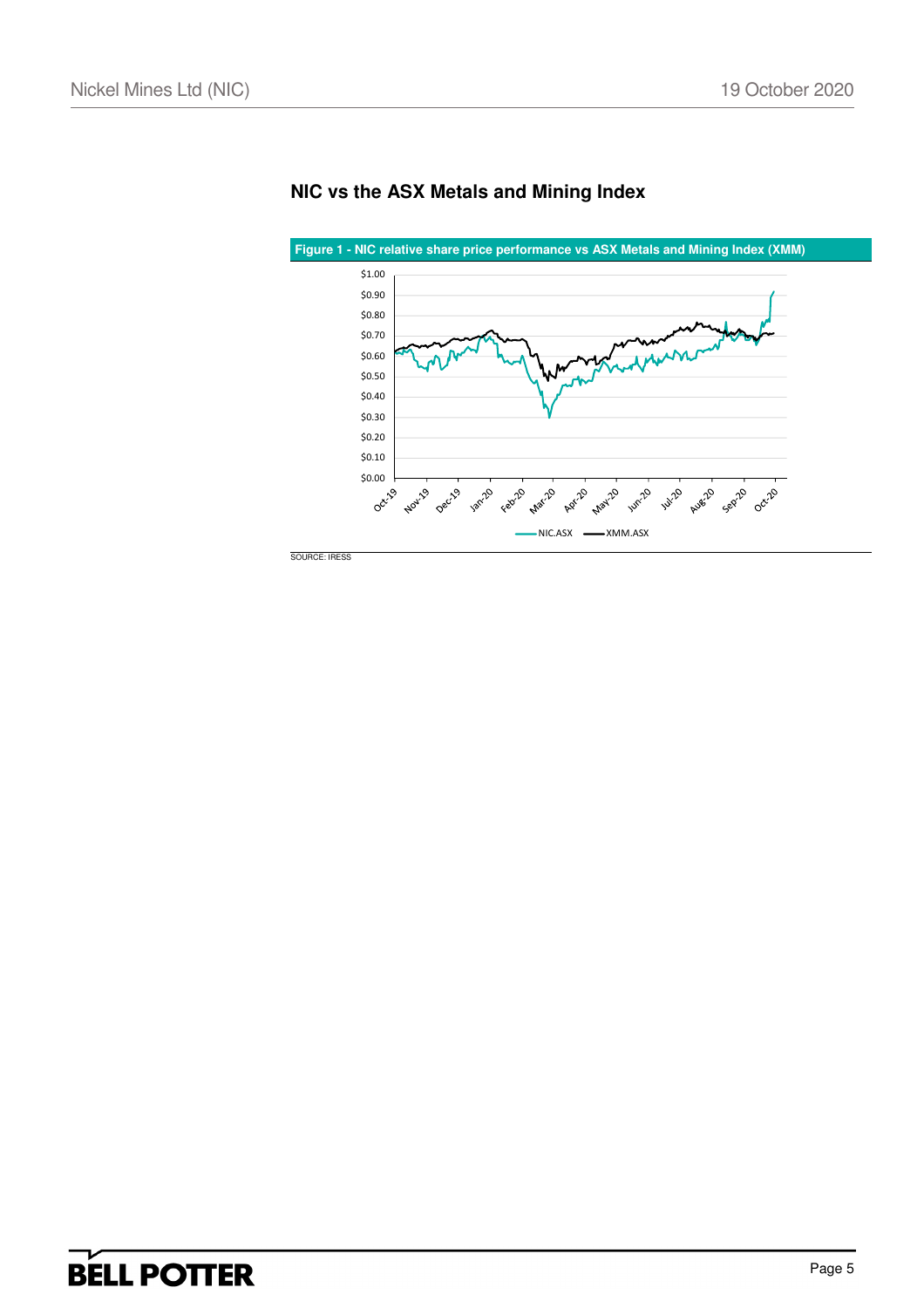

## **NIC vs the ASX Metals and Mining Index**

SOURCE: IRESS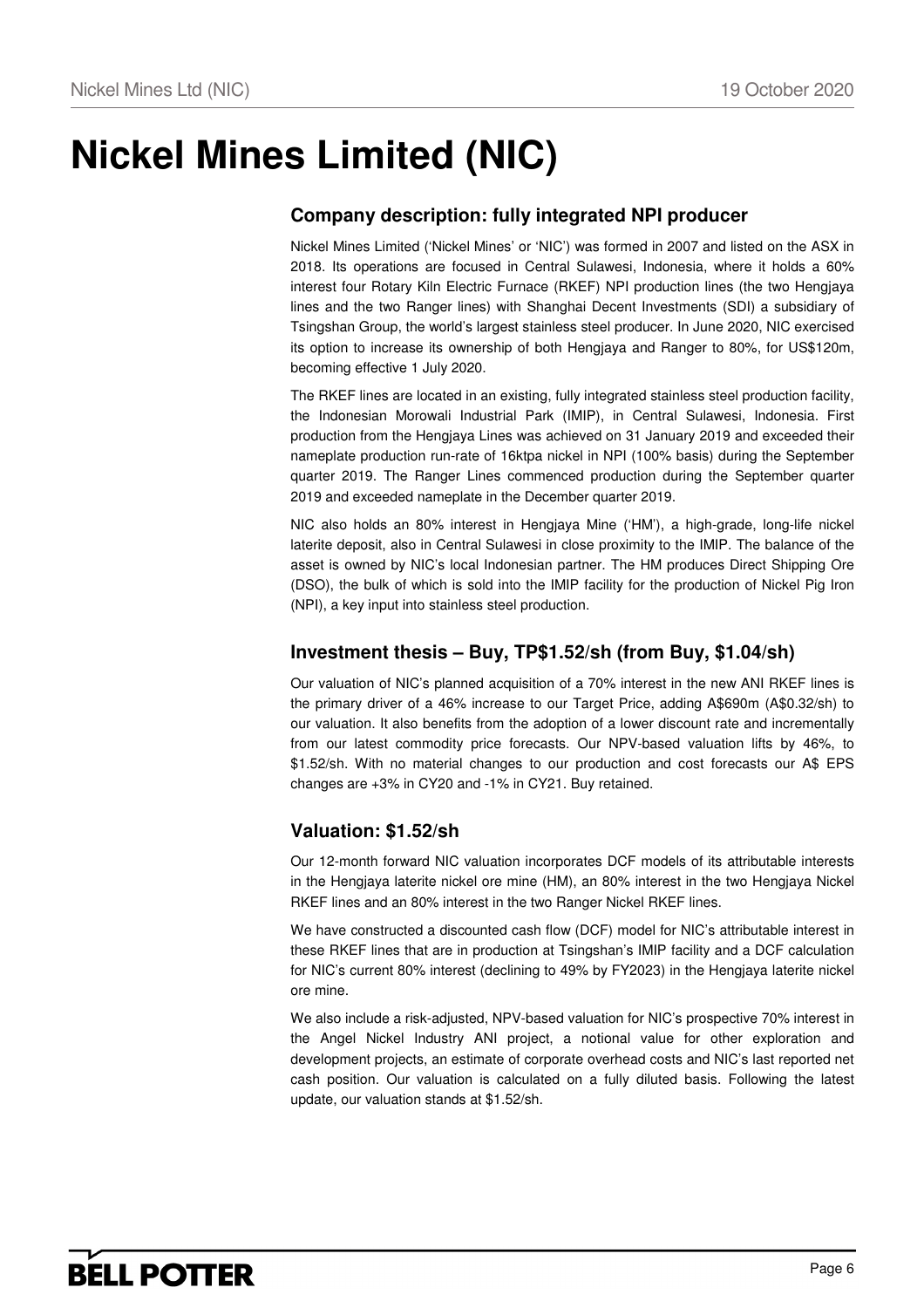# **Nickel Mines Limited (NIC)**

## **Company description: fully integrated NPI producer**

Nickel Mines Limited ('Nickel Mines' or 'NIC') was formed in 2007 and listed on the ASX in 2018. Its operations are focused in Central Sulawesi, Indonesia, where it holds a 60% interest four Rotary Kiln Electric Furnace (RKEF) NPI production lines (the two Hengjaya lines and the two Ranger lines) with Shanghai Decent Investments (SDI) a subsidiary of Tsingshan Group, the world's largest stainless steel producer. In June 2020, NIC exercised its option to increase its ownership of both Hengjaya and Ranger to 80%, for US\$120m, becoming effective 1 July 2020.

The RKEF lines are located in an existing, fully integrated stainless steel production facility, the Indonesian Morowali Industrial Park (IMIP), in Central Sulawesi, Indonesia. First production from the Hengjaya Lines was achieved on 31 January 2019 and exceeded their nameplate production run-rate of 16ktpa nickel in NPI (100% basis) during the September quarter 2019. The Ranger Lines commenced production during the September quarter 2019 and exceeded nameplate in the December quarter 2019.

NIC also holds an 80% interest in Hengjaya Mine ('HM'), a high-grade, long-life nickel laterite deposit, also in Central Sulawesi in close proximity to the IMIP. The balance of the asset is owned by NIC's local Indonesian partner. The HM produces Direct Shipping Ore (DSO), the bulk of which is sold into the IMIP facility for the production of Nickel Pig Iron (NPI), a key input into stainless steel production.

### **Investment thesis – Buy, TP\$1.52/sh (from Buy, \$1.04/sh)**

Our valuation of NIC's planned acquisition of a 70% interest in the new ANI RKEF lines is the primary driver of a 46% increase to our Target Price, adding A\$690m (A\$0.32/sh) to our valuation. It also benefits from the adoption of a lower discount rate and incrementally from our latest commodity price forecasts. Our NPV-based valuation lifts by 46%, to \$1.52/sh. With no material changes to our production and cost forecasts our A\$ EPS changes are +3% in CY20 and -1% in CY21. Buy retained.

### **Valuation: \$1.52/sh**

Our 12-month forward NIC valuation incorporates DCF models of its attributable interests in the Hengjaya laterite nickel ore mine (HM), an 80% interest in the two Hengjaya Nickel RKEF lines and an 80% interest in the two Ranger Nickel RKEF lines.

We have constructed a discounted cash flow (DCF) model for NIC's attributable interest in these RKEF lines that are in production at Tsingshan's IMIP facility and a DCF calculation for NIC's current 80% interest (declining to 49% by FY2023) in the Hengjaya laterite nickel ore mine.

We also include a risk-adjusted, NPV-based valuation for NIC's prospective 70% interest in the Angel Nickel Industry ANI project, a notional value for other exploration and development projects, an estimate of corporate overhead costs and NIC's last reported net cash position. Our valuation is calculated on a fully diluted basis. Following the latest update, our valuation stands at \$1.52/sh.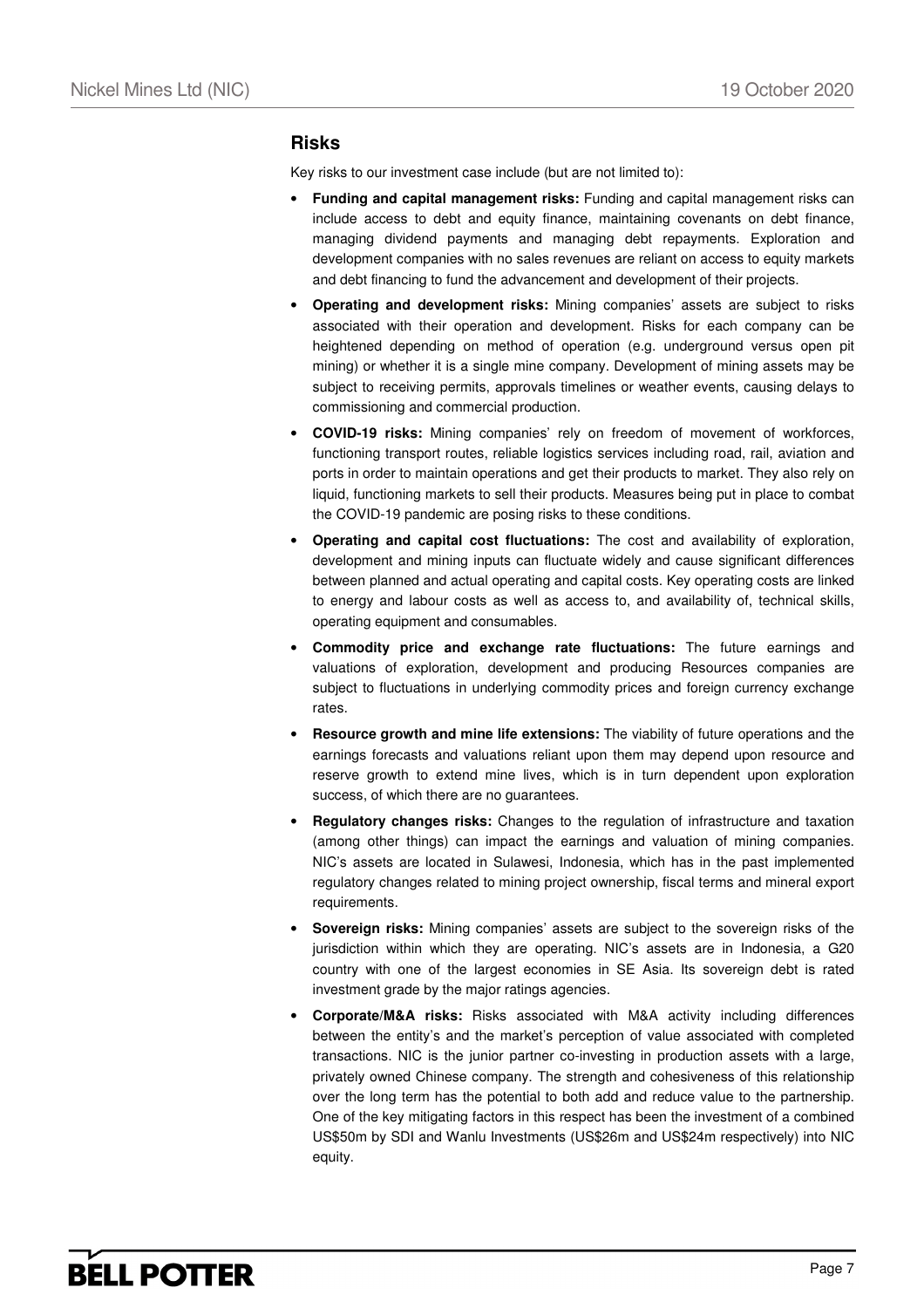### **Risks**

Key risks to our investment case include (but are not limited to):

- **Funding and capital management risks:** Funding and capital management risks can include access to debt and equity finance, maintaining covenants on debt finance, managing dividend payments and managing debt repayments. Exploration and development companies with no sales revenues are reliant on access to equity markets and debt financing to fund the advancement and development of their projects.
- **Operating and development risks:** Mining companies' assets are subject to risks associated with their operation and development. Risks for each company can be heightened depending on method of operation (e.g. underground versus open pit mining) or whether it is a single mine company. Development of mining assets may be subject to receiving permits, approvals timelines or weather events, causing delays to commissioning and commercial production.
- **COVID-19 risks:** Mining companies' rely on freedom of movement of workforces, functioning transport routes, reliable logistics services including road, rail, aviation and ports in order to maintain operations and get their products to market. They also rely on liquid, functioning markets to sell their products. Measures being put in place to combat the COVID-19 pandemic are posing risks to these conditions.
- **Operating and capital cost fluctuations:** The cost and availability of exploration, development and mining inputs can fluctuate widely and cause significant differences between planned and actual operating and capital costs. Key operating costs are linked to energy and labour costs as well as access to, and availability of, technical skills, operating equipment and consumables.
- **Commodity price and exchange rate fluctuations:** The future earnings and valuations of exploration, development and producing Resources companies are subject to fluctuations in underlying commodity prices and foreign currency exchange rates.
- **Resource growth and mine life extensions:** The viability of future operations and the earnings forecasts and valuations reliant upon them may depend upon resource and reserve growth to extend mine lives, which is in turn dependent upon exploration success, of which there are no guarantees.
- **Regulatory changes risks:** Changes to the regulation of infrastructure and taxation (among other things) can impact the earnings and valuation of mining companies. NIC's assets are located in Sulawesi, Indonesia, which has in the past implemented regulatory changes related to mining project ownership, fiscal terms and mineral export requirements.
- **Sovereign risks:** Mining companies' assets are subject to the sovereign risks of the jurisdiction within which they are operating. NIC's assets are in Indonesia, a G20 country with one of the largest economies in SE Asia. Its sovereign debt is rated investment grade by the major ratings agencies.
- **Corporate/M&A risks:** Risks associated with M&A activity including differences between the entity's and the market's perception of value associated with completed transactions. NIC is the junior partner co-investing in production assets with a large, privately owned Chinese company. The strength and cohesiveness of this relationship over the long term has the potential to both add and reduce value to the partnership. One of the key mitigating factors in this respect has been the investment of a combined US\$50m by SDI and Wanlu Investments (US\$26m and US\$24m respectively) into NIC equity.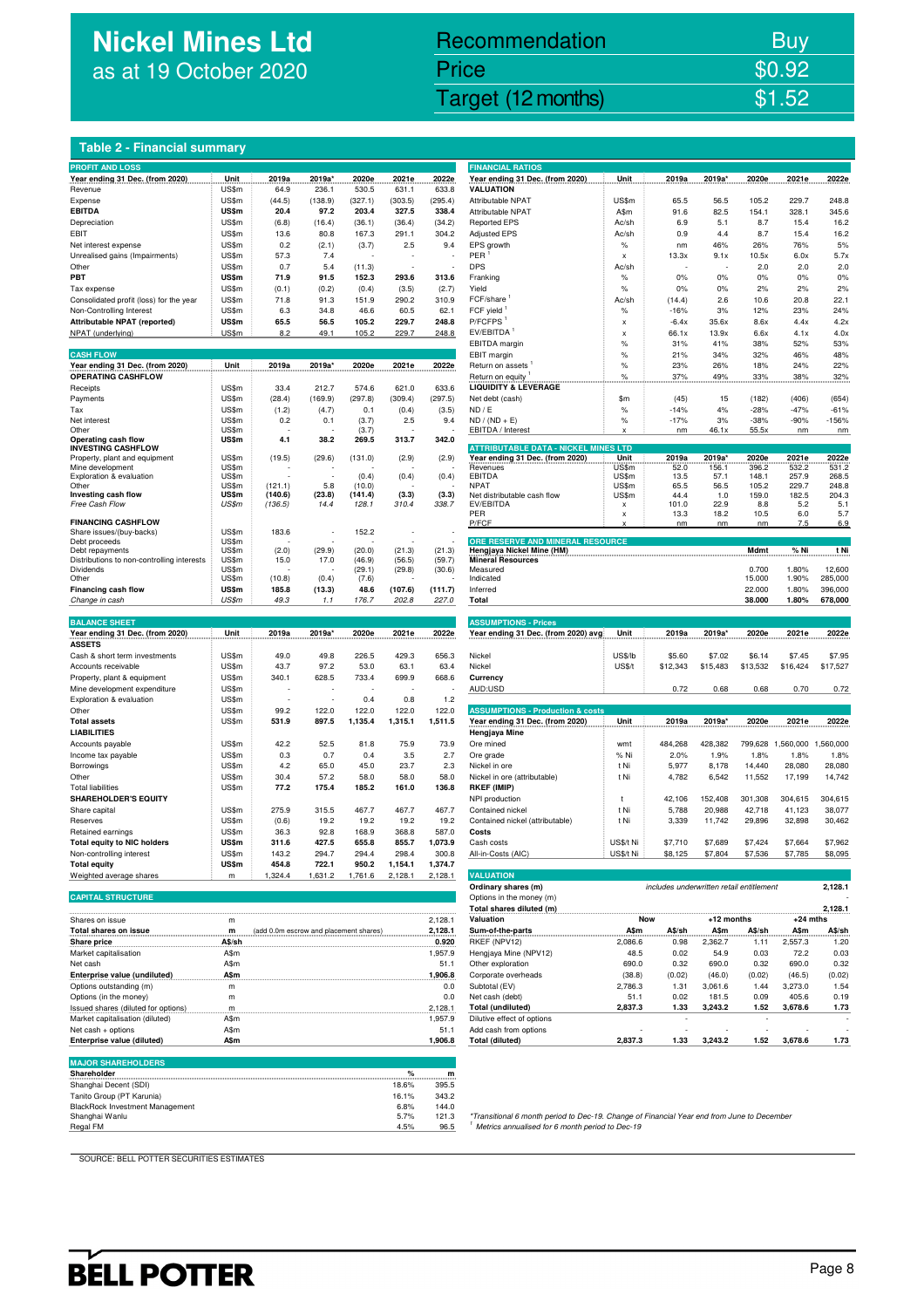## **Nickel Mines Ltd** as at 19 October 2020

## Nickel Mines Ltd (Nickel Mines Ltd (Nickel Mines Ltd (Nickel Mines Ltd (Nickel Mines Ltd Control) Recommendation Buy Price \$0.92

### **Table 2 - Financial summary**

| <b>PROFIT AND LOSS</b>                     |              |                                        |         |         |              |               | <b>FINANCIAL RATIOS</b>                                                                                                                       |                                |                                          |                   |                   |                   |                   |
|--------------------------------------------|--------------|----------------------------------------|---------|---------|--------------|---------------|-----------------------------------------------------------------------------------------------------------------------------------------------|--------------------------------|------------------------------------------|-------------------|-------------------|-------------------|-------------------|
| Year ending 31 Dec. (from 2020)            | Unit         | 2019a                                  | 2019a*  | 2020e   | 2021e        | 2022e         | Year ending 31 Dec. (from 2020)                                                                                                               | Unit                           | 2019a                                    | 2019a'            | 2020e             | 2021e             | 2022e             |
| Revenue                                    | US\$m        | 64.9                                   | 236.1   | 530.5   | 631.1        | 633.8         | <b>VALUATION</b>                                                                                                                              |                                |                                          |                   |                   |                   |                   |
| Expense                                    | US\$m        | (44.5)                                 | (138.9) | (327.1) | (303.5)      | (295.4)       | Attributable NPAT                                                                                                                             | US\$m                          | 65.5                                     | 56.5              | 105.2             | 229.7             | 248.8             |
| <b>EBITDA</b>                              | <b>US\$m</b> | 20.4                                   | 97.2    | 203.4   | 327.5        | 338.4         | <b>Attributable NPAT</b>                                                                                                                      | A\$m                           | 91.6                                     | 82.5              | 154.1             | 328.1             | 345.6             |
| Depreciation                               | US\$m        | (6.8)                                  | (16.4)  | (36.1)  | (36.4)       | (34.2)        | <b>Reported EPS</b>                                                                                                                           | Ac/sh                          | 6.9                                      | 5.1               | 8.7               | 15.4              | 16.2              |
| EBIT                                       | US\$m        | 13.6                                   | 80.8    | 167.3   | 291.1        | 304.2         | <b>Adjusted EPS</b>                                                                                                                           | Ac/sh                          | 0.9                                      | 4.4               | 8.7               | 15.4              | 16.2              |
| Net interest expense                       | US\$m        | 0.2                                    | (2.1)   | (3.7)   | 2.5          | 9.4           | EPS growth                                                                                                                                    | $\%$                           | nm                                       | 46%               | 26%               | 76%               | 5%                |
| Unrealised gains (Impairments)             | US\$m        | 57.3                                   | 7.4     |         |              |               | PER                                                                                                                                           | $\boldsymbol{\mathsf{x}}$      | 13.3x                                    | 9.1x              | 10.5x             | 6.0x              | 5.7x              |
| Other                                      | US\$m        | 0.7                                    | 5.4     | (11.3)  |              |               | <b>DPS</b>                                                                                                                                    | Ac/sh                          |                                          |                   | 2.0               | 2.0               | 2.0               |
| PBT                                        | US\$m        | 71.9                                   | 91.5    | 152.3   | 293.6        | 313.6         | Franking                                                                                                                                      | $\%$                           | 0%                                       | 0%                | 0%                | 0%                | 0%                |
| Tax expense                                | US\$m        | (0.1)                                  | (0.2)   | (0.4)   | (3.5)        | (2.7)         | Yield                                                                                                                                         | $\%$                           | 0%                                       | 0%                | 2%                | 2%                | 2%                |
| Consolidated profit (loss) for the year    | US\$m        | 71.8                                   | 91.3    | 151.9   | 290.2        | 310.9         | FCF/share                                                                                                                                     | Ac/sh                          | (14.4)                                   | 2.6               | 10.6              | 20.8              | 22.1              |
| Non-Controlling Interest                   | US\$m        | 6.3                                    | 34.8    | 46.6    | 60.5         | 62.1          | FCF yield                                                                                                                                     | $\%$                           | $-16%$                                   | 3%                | 12%               | 23%               | 24%               |
| Attributable NPAT (reported)               | <b>US\$m</b> | 65.5                                   | 56.5    | 105.2   | 229.7        | 248.8         | P/FCFPS <sup>1</sup>                                                                                                                          | X                              | $-6.4x$                                  | 35.6x             | 8.6x              | 4.4x              | 4.2x              |
| NPAT (underlying)                          | US\$m        | 8.2                                    | 49.1    | 105.2   | 229.7        | 248.8         | EV/EBITDA <sup>1</sup>                                                                                                                        | $\boldsymbol{\mathsf{x}}$      | 66.1x                                    | 13.9x             | 6.6x              | 4.1x              | 4.0x              |
|                                            |              |                                        |         |         |              |               | EBITDA margin                                                                                                                                 | $\%$                           | 31%                                      | 41%               | 38%               | 52%               | 53%               |
| <b>CASH FLOW</b>                           |              |                                        |         |         |              |               | EBIT margin                                                                                                                                   | $\%$                           | 21%                                      | 34%               | 32%               | 46%               | 48%               |
| Year ending 31 Dec. (from 2020)            | Unit         | 2019a                                  | 2019a*  | 2020e   | 2021e        | 2022e         | Return on assets                                                                                                                              | $\%$                           | 23%                                      | 26%               | 18%               | 24%               | 22%               |
| <b>OPERATING CASHFLOW</b>                  |              |                                        |         |         |              |               | Return on equity                                                                                                                              | $\%$                           | 37%                                      | 49%               | 33%               | 38%               | 32%               |
| Receipts                                   | US\$m        | 33.4                                   | 212.7   | 574.6   | 621.0        | 633.6         | <b>LIQUIDITY &amp; LEVERAGE</b>                                                                                                               |                                |                                          |                   |                   |                   |                   |
| Payments                                   | US\$m        | (28.4)                                 | (169.9) | (297.8) | (309.4)      | (297.5)       | Net debt (cash)                                                                                                                               | \$m                            | (45)                                     | 15                | (182)             | (406)             | (654)             |
| Tax                                        | US\$m        | (1.2)                                  | (4.7)   | 0.1     | (0.4)        | (3.5)         | ND / E                                                                                                                                        | $\%$                           | $-14%$                                   | 4%                | $-28%$            | $-47%$            | $-61%$            |
| Net interest                               | US\$m        | 0.2                                    | 0.1     | (3.7)   | 2.5          | 9.4           | $ND / (ND + E)$                                                                                                                               | $\%$                           | $-17%$                                   | 3%                | $-38%$            | $-90%$            | $-156%$           |
| Other                                      | US\$m        |                                        |         | (3.7)   |              |               | EBITDA / Interest                                                                                                                             | x                              | nm                                       | 46.1x             | 55.5x             | nm                | nm                |
| Operating cash flow                        | US\$m        | 4.1                                    | 38.2    | 269.5   | 313.7        | 342.0         |                                                                                                                                               |                                |                                          |                   |                   |                   |                   |
| <b>INVESTING CASHFLOW</b>                  |              |                                        |         |         |              |               | <b>ATTRIBUTABLE DATA - NICKEL MINES LTD</b>                                                                                                   |                                |                                          |                   |                   |                   |                   |
| Property, plant and equipment              | US\$m        | (19.5)                                 | (29.6)  | (131.0) | (2.9)        | (2.9)         | Year ending 31 Dec. (from 2020)                                                                                                               | Unit                           | 2019a                                    | 2019a'            | 2020e             | 2021e             | 2022e             |
| Mine development                           | US\$m        |                                        |         |         |              |               | Revenues                                                                                                                                      | US\$m                          | 52.0                                     | 156.1             | 396.2             | 532.2             | 531.2             |
| Exploration & evaluation                   | US\$m        |                                        |         | (0.4)   | (0.4)        | (0.4)         | <b>EBITDA</b>                                                                                                                                 | US\$m                          | 13.5                                     | 57.1              | 148.1             | 257.9             | 268.5             |
| Other                                      | US\$m        | (121.1)                                | 5.8     | (10.0)  |              |               | <b>NPAT</b>                                                                                                                                   | US\$m                          | 65.5                                     | 56.5              | 105.2             | 229.7<br>182.5    | 248.8<br>204.3    |
| Investing cash flow                        | US\$m        | (140.6)                                | (23.8)  | (141.4) | (3.3)        | (3.3)         | Net distributable cash flow                                                                                                                   | US\$m                          | 44.4                                     | 1.0               | 159.0             |                   |                   |
| Free Cash Flow                             | US\$m        | (136.5)                                | 14.4    | 128.1   | 310.4        | 338.7         | EV/EBITDA<br>PER                                                                                                                              | X<br>$\boldsymbol{\mathsf{x}}$ | 101.0<br>13.3                            | 22.9<br>18.2      | 8.8<br>10.5       | 5.2<br>6.0        | 5.1<br>5.7        |
| <b>FINANCING CASHFLOW</b>                  |              |                                        |         |         |              |               | P/FCF                                                                                                                                         | X                              | nm                                       | nm                | nm                | 7.5               | 6.9               |
| Share issues/(buy-backs)                   | US\$m        | 183.6                                  |         | 152.2   |              |               |                                                                                                                                               |                                |                                          |                   |                   |                   |                   |
| Debt proceeds                              | US\$m        |                                        |         |         |              |               | ORE RESERVE AND MINERAL RESOURCE                                                                                                              |                                |                                          |                   |                   |                   |                   |
| Debt repayments                            | US\$m        | (2.0)                                  | (29.9)  | (20.0)  | (21.3)       | (21.3)        | Hengjaya Nickel Mine (HM)                                                                                                                     |                                |                                          |                   | Mdmt              | % Ni              | t Ni              |
| Distributions to non-controlling interests | US\$m        | 15.0                                   | 17.0    | (46.9)  | (56.5)       | (59.7)        | <b>Mineral Resources</b>                                                                                                                      |                                |                                          |                   |                   |                   |                   |
| Dividends                                  | US\$m        |                                        |         | (29.1)  | (29.8)       | (30.6)        | Measured                                                                                                                                      |                                |                                          |                   | 0.700             | 1.80%             | 12,600            |
| Other                                      | US\$m        | (10.8)                                 | (0.4)   | (7.6)   |              |               | Indicated                                                                                                                                     |                                |                                          |                   | 15.000            | 1.90%             | 285,000           |
| Financing cash flow                        | US\$m        | 185.8                                  | (13.3)  | 48.6    | (107.6)      | (111.7)       | Inferred                                                                                                                                      |                                |                                          |                   | 22.000            | 1.80%             | 396,000           |
| Change in cash                             | US\$m        | 49.3                                   | 1.1     | 176.7   | 202.8        | 227.0         | Total                                                                                                                                         |                                |                                          |                   | 38.000            | 1.80%             | 678,000           |
|                                            |              |                                        |         |         |              |               |                                                                                                                                               |                                |                                          |                   |                   |                   |                   |
| <b>BALANCE SHEET</b>                       |              |                                        |         |         |              |               | <b>ASSUMPTIONS - Prices</b>                                                                                                                   |                                |                                          |                   |                   |                   |                   |
| Year ending 31 Dec. (from 2020)            | Unit         | 2019a                                  | 2019a*  | 2020e   | 2021e        | 2022e         | Year ending 31 Dec. (from 2020) avg                                                                                                           | Unit                           | 2019a                                    | 2019a'            | 2020e             | 2021e             | 2022e             |
| <b>ASSETS</b>                              |              |                                        |         |         |              |               |                                                                                                                                               |                                |                                          |                   |                   |                   |                   |
| Cash & short term investments              | US\$m        | 49.0                                   | 49.8    | 226.5   | 429.3        | 656.3         | Nickel                                                                                                                                        | US\$/lb                        | \$5.60                                   | \$7.02            | \$6.14            | \$7.45            | \$7.95            |
| Accounts receivable                        | US\$m        | 43.7                                   | 97.2    | 53.0    | 63.1         | 63.4          | Nickel                                                                                                                                        | <b>US\$/t</b>                  | \$12,343                                 | \$15,483          | \$13,532          | \$16,424          | \$17,527          |
| Property, plant & equipment                | US\$m        | 340.1                                  | 628.5   | 733.4   | 699.9        | 668.6         | Currency                                                                                                                                      |                                |                                          |                   |                   |                   |                   |
|                                            | US\$m        |                                        |         |         |              |               | AUD:USD                                                                                                                                       |                                |                                          |                   |                   |                   | 0.72              |
| Mine development expenditure               |              |                                        | ÷,      |         |              |               |                                                                                                                                               |                                | 0.72                                     | 0.68              | 0.68              | 0.70              |                   |
| Exploration & evaluation                   | US\$m        |                                        |         | 0.4     | 0.8          | 1.2           |                                                                                                                                               |                                |                                          |                   |                   |                   |                   |
| Other                                      | US\$m        | 99.2                                   | 122.0   | 122.0   | 122.0        | 122.0         | <b>ASSUMPTIONS - Production &amp; costs</b>                                                                                                   |                                |                                          |                   |                   |                   |                   |
|                                            |              | 531.9                                  | 897.5   | 1,135.4 | 1,315.1      | 1,511.5       | Year ending 31 Dec. (from 2020)                                                                                                               | Unit                           | 2019a                                    | 2019a*            | 2020e             | 2021e             | 2022e             |
| <b>Total assets</b>                        | US\$m        |                                        |         |         |              |               |                                                                                                                                               |                                |                                          |                   |                   |                   |                   |
| <b>LIABILITIES</b>                         |              |                                        |         |         |              |               | Hengjaya Mine                                                                                                                                 |                                |                                          |                   |                   | 1,560,000         | 1,560,000         |
| Accounts payable                           | US\$m        | 42.2                                   | 52.5    | 81.8    | 75.9         | 73.9          | Ore mined                                                                                                                                     | wmt                            | 484,268                                  | 428,382           | 799,628           |                   |                   |
| Income tax payable                         | US\$m        | 0.3                                    | 0.7     | 0.4     | 3.5          | 2.7           | Ore grade                                                                                                                                     | % Ni                           | 2.0%                                     | 1.9%              | 1.8%              | 1.8%              | 1.8%              |
| Borrowings                                 | US\$m        | 4.2                                    | 65.0    | 45.0    | 23.7         | 2.3           | Nickel in ore                                                                                                                                 | t Ni                           | 5,977                                    | 8,178             | 14,440            | 28,080            | 28,080            |
| Other                                      | US\$m        | 30.4                                   | 57.2    | 58.0    | 58.0         | 58.0          | Nickel in ore (attributable)                                                                                                                  | t Ni                           | 4,782                                    | 6,542             | 11,552            | 17,199            | 14,742            |
| <b>Total liabilities</b>                   |              | 77.2                                   | 175.4   | 185.2   | 161.0        | 136.8         | <b>RKEF (IMIP)</b>                                                                                                                            |                                |                                          |                   |                   |                   |                   |
| <b>SHAREHOLDER'S EQUITY</b>                | US\$m        |                                        |         |         |              |               |                                                                                                                                               | t                              |                                          |                   |                   |                   |                   |
| Share capital                              | US\$m        | 275.9                                  | 315.5   | 467.7   | 467.7        | 467.7         | NPI production<br>Contained nickel                                                                                                            | t Ni                           | 42,106<br>5,788                          | 152,408<br>20,988 | 301,308<br>42,718 | 304,615<br>41,123 | 304,615<br>38,077 |
|                                            |              |                                        |         |         |              |               |                                                                                                                                               |                                |                                          |                   |                   |                   |                   |
| Reserves                                   | US\$m        | (0.6)                                  | 19.2    | 19.2    | 19.2         | 19.2          | Contained nickel (attributable)                                                                                                               | t Ni                           | 3,339                                    | 11,742            | 29,896            | 32,898            | 30,462            |
| Retained earnings                          | US\$m        | 36.3                                   | 92.8    | 168.9   | 368.8        | 587.0         | Costs                                                                                                                                         |                                |                                          |                   |                   |                   |                   |
| <b>Total equity to NIC holders</b>         | US\$m        | 311.6                                  | 427.5   | 655.8   | 855.7        | 1,073.9       | Cash costs                                                                                                                                    | US\$/t Ni                      | \$7,710                                  | \$7,689           | \$7,424           | \$7,664           | \$7,962           |
| Non-controlling interest                   | US\$m        | 143.2                                  | 294.7   | 294.4   | 298.4        | 300.8         | All-in-Costs (AIC)                                                                                                                            | US\$/t Ni                      | \$8,125                                  | \$7,804           | \$7,536           | \$7,785           | \$8,095           |
| <b>Total equity</b>                        | US\$m        | 454.8                                  | 722.1   | 950.2   | 1,154.1      | 1,374.7       |                                                                                                                                               |                                |                                          |                   |                   |                   |                   |
| Weighted average shares                    | m            | 1,324.4                                | 1,631.2 | 1,761.6 | 2,128.1      | 2,128.1       | <b>VALUATION</b>                                                                                                                              |                                |                                          |                   |                   |                   |                   |
|                                            |              |                                        |         |         |              |               | Ordinary shares (m)                                                                                                                           |                                | includes underwritten retail entitlement |                   |                   |                   | 2,128.1           |
| <b>CAPITAL STRUCTURE</b>                   |              |                                        |         |         |              |               | Options in the money (m)                                                                                                                      |                                |                                          |                   |                   |                   |                   |
|                                            |              |                                        |         |         |              |               | Total shares diluted (m)                                                                                                                      |                                |                                          |                   |                   |                   | 2,128.1           |
| Shares on issue                            | m            |                                        |         |         |              | 2,128.1       | Valuation                                                                                                                                     | Now                            |                                          | +12 months        |                   | $+24$ mths        |                   |
| Total shares on issue                      | m            | (add 0.0m escrow and placement shares) |         |         |              | 2,128.1       | Sum-of-the-parts                                                                                                                              | A\$m                           | A\$/sh                                   | A\$m              | A\$/sh            | A\$m              | A\$/sh            |
| <b>Share price</b>                         | A\$/sh       |                                        |         |         |              | 0.920         | RKEF (NPV12)                                                                                                                                  | 2,086.6                        | 0.98                                     | 2,362.7           | 1.11              | 2,557.3           | 1.20              |
| Market capitalisation                      | A\$m         |                                        |         |         |              | 1,957.9       | Hengjaya Mine (NPV12)                                                                                                                         | 48.5                           | 0.02                                     | 54.9              | 0.03              | 72.2              | 0.03              |
| Net cash                                   | A\$m         |                                        |         |         |              |               |                                                                                                                                               | 690.0                          | 0.32                                     | 690.0             | 0.32              |                   | 0.32              |
|                                            |              |                                        |         |         |              | 51.1          | Other exploration<br>Corporate overheads                                                                                                      |                                |                                          |                   |                   | 690.0             |                   |
| Enterprise value (undiluted)               | A\$m         |                                        |         |         |              | 1,906.8       |                                                                                                                                               | (38.8)                         | (0.02)                                   | (46.0)            | (0.02)            | (46.5)            | (0.02)            |
| Options outstanding (m)                    | m            |                                        |         |         |              | 0.0           | Subtotal (EV)                                                                                                                                 | 2,786.3                        | 1.31                                     | 3,061.6           | 1.44              | 3,273.0           | 1.54              |
| Options (in the money)                     | m            |                                        |         |         |              | 0.0           | Net cash (debt)                                                                                                                               | 51.1                           | 0.02                                     | 181.5             | 0.09              | 405.6             | 0.19              |
| Issued shares (diluted for options)        | m            |                                        |         |         |              | 2,128.1       | Total (undiluted)                                                                                                                             | 2,837.3                        | 1.33                                     | 3,243.2           | 1.52              | 3,678.6           | 1.73              |
| Market capitalisation (diluted)            | A\$m         |                                        |         |         |              | 1,957.9       | Dilutive effect of options                                                                                                                    |                                |                                          |                   |                   |                   |                   |
| Net cash + options                         | A\$m         |                                        |         |         |              | 51.1          | Add cash from options                                                                                                                         |                                | Î,                                       |                   |                   |                   |                   |
| Enterprise value (diluted)                 | A\$m         |                                        |         |         |              | 1,906.8       | <b>Total (diluted)</b>                                                                                                                        | 2,837.3                        | 1.33                                     | 3,243.2           | 1.52              | 3,678.6           | 1.73              |
|                                            |              |                                        |         |         |              |               |                                                                                                                                               |                                |                                          |                   |                   |                   |                   |
| <b>MAJOR SHAREHOLDERS</b>                  |              |                                        |         |         |              |               |                                                                                                                                               |                                |                                          |                   |                   |                   |                   |
| Shareholder                                |              |                                        |         |         | $\%$         | m             |                                                                                                                                               |                                |                                          |                   |                   |                   |                   |
|                                            |              |                                        |         |         |              |               |                                                                                                                                               |                                |                                          |                   |                   |                   |                   |
| Shanghai Decent (SDI)                      |              |                                        |         |         | 18.6%        | 395.5         |                                                                                                                                               |                                |                                          |                   |                   |                   |                   |
| Tanito Group (PT Karunia)                  |              |                                        |         |         | 16.1%        | 343.2         |                                                                                                                                               |                                |                                          |                   |                   |                   |                   |
| BlackRock Investment Management            |              |                                        |         |         | 6.8%         | 144.0         |                                                                                                                                               |                                |                                          |                   |                   |                   |                   |
| Shanghai Wanlu<br>Regal FM                 |              |                                        |         |         | 5.7%<br>4.5% | 121.3<br>96.5 | *Transitional 6 month period to Dec-19. Change of Financial Year end from June to December<br>Metrics annualised for 6 month period to Dec-19 |                                |                                          |                   |                   |                   |                   |

| <b>FINANCIAL RATIOS</b>                                                                                                                                                                                                              |                 |                                          |                  |                  |                     |                  |
|--------------------------------------------------------------------------------------------------------------------------------------------------------------------------------------------------------------------------------------|-----------------|------------------------------------------|------------------|------------------|---------------------|------------------|
| Year ending 31 Dec. (from 2020)                                                                                                                                                                                                      | Unit            | 2019a                                    | 2019a*           | 2020e            | 2021e               | 2022e            |
| VALUATION                                                                                                                                                                                                                            |                 |                                          |                  |                  |                     |                  |
| Attributable NPAT                                                                                                                                                                                                                    | US\$m           | 65.5                                     | 56.5             | 105.2            | 229.7               | 248.8            |
| Attributable NPAT<br>Reported EPS                                                                                                                                                                                                    | A\$m<br>Ac/sh   | 91.6<br>6.9                              | 82.5<br>5.1      | 154.1<br>8.7     | 328.1<br>15.4       | 345.6<br>16.2    |
| Adjusted EPS                                                                                                                                                                                                                         | Ac/sh           | 0.9                                      | 4.4              | 8.7              | 15.4                | 16.2             |
| EPS growth                                                                                                                                                                                                                           | %               | nm                                       | 46%              | 26%              | 76%                 | 5%               |
| <b>PER</b>                                                                                                                                                                                                                           | X               | 13.3x                                    | 9.1x             | 10.5x            | 6.0x                | 5.7x             |
| DPS                                                                                                                                                                                                                                  | Ac/sh           |                                          |                  | 2.0              | 2.0                 | 2.0              |
| Franking                                                                                                                                                                                                                             | %               | 0%                                       | 0%               | 0%               | 0%                  | 0%               |
| Yield                                                                                                                                                                                                                                | $\%$            | 0%                                       | 0%               | 2%               | 2%                  | 2%               |
| FCF/share                                                                                                                                                                                                                            | Ac/sh           | (14.4)                                   | 2.6              | 10.6             | 20.8                | 22.1             |
| FCF yield $^1$<br>P/FCFPS <sup>1</sup>                                                                                                                                                                                               | %               | $-16%$<br>$-6.4x$                        | 3%<br>35.6x      | 12%<br>8.6x      | 23%<br>4.4x         | 24%<br>4.2x      |
| EV/EBITDA 1                                                                                                                                                                                                                          | X<br>X          | 66.1x                                    | 13.9x            | 6.6x             | 4.1x                | 4.0x             |
| <b>EBITDA</b> margin                                                                                                                                                                                                                 | %               | 31%                                      | 41%              | 38%              | 52%                 | 53%              |
| EBIT margin                                                                                                                                                                                                                          | %               | 21%                                      | 34%              | 32%              | 46%                 | 48%              |
| Return on assets <sup>1</sup>                                                                                                                                                                                                        | $\%$            | 23%                                      | 26%              | 18%              | 24%                 | 22%              |
| Return on equity '                                                                                                                                                                                                                   | %               | 37%                                      | 49%              | 33%              | 38%                 | 32%              |
| <b>LIQUIDITY &amp; LEVERAGE</b>                                                                                                                                                                                                      |                 |                                          |                  |                  |                     |                  |
| Net debt (cash)                                                                                                                                                                                                                      | \$m             | (45)                                     | 15               | (182)            | (406)               | (654)            |
| ND / E<br>$ND / (ND + E)$                                                                                                                                                                                                            | $\%$<br>%       | $-14%$<br>$-17%$                         | 4%<br>3%         | $-28%$<br>$-38%$ | $-47%$<br>$-90%$    | -61%<br>$-156%$  |
| EBITDA / Interest                                                                                                                                                                                                                    | X               | nm                                       | 46.1x            | 55.5x            | nm                  | nm               |
|                                                                                                                                                                                                                                      |                 |                                          |                  |                  |                     |                  |
| <b>ATTRIBUTABLE DATA - NICKEL MINES LTD</b><br>Year ending 31 Dec. (from 2020)                                                                                                                                                       | Unit            | 2019a                                    | 2019a*           | 2020e            | 2021e               | 2022e            |
| Revenues                                                                                                                                                                                                                             | US\$m           | Ą.,<br>52.0                              | 156.1            | 396.2            | 532.2               | 531.2            |
| EBITDA                                                                                                                                                                                                                               | US\$m           | 13.5                                     | 57.1             | 148.1            | 257.9               | 268.5            |
| NPAT<br>Net distributable cash flow                                                                                                                                                                                                  | US\$m<br>US\$m  | 65.5<br>44.4                             | 56.5<br>1.0      | 105.2<br>159.0   | 229.7<br>182.5      | 248.8<br>204.3   |
| EV/EBITDA                                                                                                                                                                                                                            | X               | 101.0                                    | 22.9             | 8.8              | 5.2                 | 5.1              |
| PER                                                                                                                                                                                                                                  | x               | 13.3                                     | 18.2             | 10.5             | 6.0                 | 5.7              |
| P/FCF                                                                                                                                                                                                                                | x               | nm                                       | nm               | $n$ m            | 7.5                 | 6.9              |
| ORE RESERVE AND MINERAL RESOURCE                                                                                                                                                                                                     |                 |                                          |                  |                  |                     |                  |
| Hengjaya Nickel Mine (HM)<br><b>Mineral Resources</b>                                                                                                                                                                                |                 |                                          |                  | Mdmt             | % Ni                | t Ni             |
| Measured                                                                                                                                                                                                                             |                 |                                          |                  | 0.700            | 1.80%               | 12,600           |
| Indicated                                                                                                                                                                                                                            |                 |                                          |                  | 15.000           | 1.90%               | 285,000          |
| Inferred                                                                                                                                                                                                                             |                 |                                          |                  | 22.000           | 1.80%               | 396,000          |
| Total                                                                                                                                                                                                                                |                 |                                          |                  | 38.000           | 1.80%               | 678,000          |
|                                                                                                                                                                                                                                      |                 |                                          |                  |                  |                     |                  |
|                                                                                                                                                                                                                                      |                 |                                          |                  |                  |                     |                  |
|                                                                                                                                                                                                                                      | Unit            | 2019a                                    | 2019a*           | 2020e            | 2021e               | 2022e            |
| <b>ASSUMPTIONS - Prices</b><br>Year ending 31 Dec. (from 2020) avg                                                                                                                                                                   |                 |                                          |                  |                  |                     |                  |
|                                                                                                                                                                                                                                      | <b>US\$/lb</b>  | \$5.60                                   | \$7.02           | \$6.14           | \$7.45              | \$7.95           |
| Nickel<br>Nickel                                                                                                                                                                                                                     | US\$/t          | \$12,343                                 | \$15,483         | \$13,532         | \$16,424            | \$17,527         |
| Currency                                                                                                                                                                                                                             |                 |                                          |                  |                  |                     |                  |
| AUD:USD                                                                                                                                                                                                                              |                 | 0.72                                     | 0.68             | 0.68             | 0.70                | 0.72             |
|                                                                                                                                                                                                                                      |                 |                                          |                  |                  |                     |                  |
| <b>ASSUMPTIONS - Production &amp; costs</b>                                                                                                                                                                                          |                 |                                          |                  |                  |                     |                  |
|                                                                                                                                                                                                                                      | Unit            | 2019a                                    | 2019a*           | 2020e            | 2021e               | 2022e            |
|                                                                                                                                                                                                                                      | wmt             | 484,268                                  | 428,382          | 799,628          | 1,560,000 1,560,000 |                  |
|                                                                                                                                                                                                                                      | % Ni            | 2.0%                                     | 1.9%             | 1.8%             | 1.8%                | 1.8%             |
|                                                                                                                                                                                                                                      | t Ni            | 5,977                                    | 8,178            | 14,440           | 28,080              | 28,080           |
|                                                                                                                                                                                                                                      | t Ni            | 4,782                                    | 6,542            | 11,552           | 17,199              | 14,742           |
|                                                                                                                                                                                                                                      |                 |                                          |                  |                  |                     |                  |
|                                                                                                                                                                                                                                      | t<br>t Ni       | 42,106                                   | 152,408          | 301,308          | 304,615             | 304,615          |
| Year ending 31 Dec. (from 2020)<br>Hengjaya Mine<br>Ore mined<br>Ore grade<br>Nickel in ore<br>Nickel in ore (attributable)<br>RKEF (IMIP)<br>NPI production<br>Contained nickel<br>Contained nickel (attributable)                  | t Ni            | 5,788<br>3,339                           | 20,988<br>11,742 | 42,718<br>29,896 | 41,123<br>32,898    | 38,077<br>30,462 |
|                                                                                                                                                                                                                                      |                 |                                          |                  |                  |                     |                  |
|                                                                                                                                                                                                                                      | US\$/t Ni       | \$7,710                                  | \$7,689          | \$7,424          | \$7,664             | \$7,962          |
| Costs<br>Cash costs<br>All-in-Costs (AIC)                                                                                                                                                                                            | US\$/t Ni       | \$8,125                                  | \$7,804          | \$7,536          | \$7,785             | \$8,095          |
|                                                                                                                                                                                                                                      |                 |                                          |                  |                  |                     |                  |
|                                                                                                                                                                                                                                      |                 |                                          |                  |                  |                     |                  |
|                                                                                                                                                                                                                                      |                 | includes underwritten retail entitlement |                  |                  |                     | 2,128.1          |
|                                                                                                                                                                                                                                      |                 |                                          |                  |                  |                     |                  |
|                                                                                                                                                                                                                                      |                 | Now                                      | +12 months       |                  | $+24$ mths          | 2,128.1          |
|                                                                                                                                                                                                                                      |                 |                                          |                  |                  |                     |                  |
|                                                                                                                                                                                                                                      | 2,086.6         | 0.98                                     | 2,362.7          | 1.11             | 2,557.3             | 1.20             |
| <b>VALUATION</b><br>Ordinary shares (m)<br>Options in the money (m)<br>Total shares diluted (m)<br>Valuation<br>Sum-of-the-parts <b>and ASM ASSES ASM ASSES</b> ASM ASSES ASM ASSESS ASSESS<br>RKEF (NPV12)<br>Hengjaya Mine (NPV12) | 48.5            | 0.02                                     | 54.9             | 0.03             | 72.2                | 0.03             |
| Other exploration                                                                                                                                                                                                                    | 690.0           | 0.32                                     | 690.0            | 0.32             | 690.0               | 0.32             |
| Corporate overheads                                                                                                                                                                                                                  | (38.8)          | (0.02)                                   | (46.0)           | (0.02)           | (46.5)              | (0.02)           |
| Subtotal (EV)                                                                                                                                                                                                                        | 2,786.3         | 1.31                                     | 3,061.6          | 1.44             | 3,273.0             | 1.54             |
| Net cash (debt)<br>Total (undiluted)                                                                                                                                                                                                 | 51.1<br>2,837.3 | 0.02<br>1.33                             | 181.5<br>3,243.2 | 0.09<br>1.52     | 405.6<br>3,678.6    | 0.19<br>1.73     |
| Dilutive effect of options                                                                                                                                                                                                           |                 |                                          |                  |                  |                     |                  |

SOURCE: BELL POTTER SECURITIES ESTIMATES